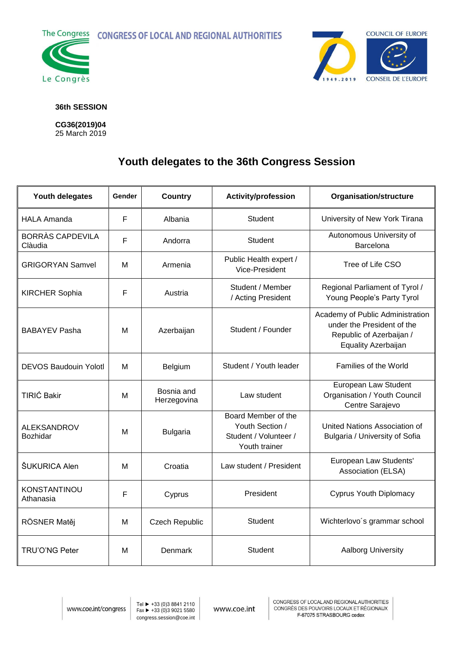**The Congress CONGRESS OF LOCAL AND REGIONAL AUTHORITIES** 





## **36th SESSION**

**CG36(2019)04** 25 March 2019

## **Youth delegates to the 36th Congress Session**

| Youth delegates                  | <b>Gender</b> | <b>Country</b>            | <b>Activity/profession</b>                                                       | <b>Organisation/structure</b>                                                                                     |
|----------------------------------|---------------|---------------------------|----------------------------------------------------------------------------------|-------------------------------------------------------------------------------------------------------------------|
| <b>HALA Amanda</b>               | F             | Albania                   | Student                                                                          | University of New York Tirana                                                                                     |
| BORRÀS CAPDEVILA<br>Clàudia      | F             | Andorra                   | Student                                                                          | Autonomous University of<br>Barcelona                                                                             |
| <b>GRIGORYAN Samvel</b>          | м             | Armenia                   | Public Health expert /<br>Vice-President                                         | Tree of Life CSO                                                                                                  |
| <b>KIRCHER Sophia</b>            | F             | Austria                   | Student / Member<br>/ Acting President                                           | Regional Parliament of Tyrol /<br>Young People's Party Tyrol                                                      |
| <b>BABAYEV Pasha</b>             | М             | Azerbaijan                | Student / Founder                                                                | Academy of Public Administration<br>under the President of the<br>Republic of Azerbaijan /<br>Equality Azerbaijan |
| <b>DEVOS Baudouin Yolotl</b>     | м             | <b>Belgium</b>            | Student / Youth leader                                                           | Families of the World                                                                                             |
| <b>TIRIĆ Bakir</b>               | M             | Bosnia and<br>Herzegovina | Law student                                                                      | European Law Student<br>Organisation / Youth Council<br>Centre Sarajevo                                           |
| <b>ALEKSANDROV</b><br>Bozhidar   | М             | <b>Bulgaria</b>           | Board Member of the<br>Youth Section /<br>Student / Volunteer /<br>Youth trainer | United Nations Association of<br>Bulgaria / University of Sofia                                                   |
| ŠUKURICA Alen                    | M             | Croatia                   | Law student / President                                                          | European Law Students'<br>Association (ELSA)                                                                      |
| <b>KONSTANTINOU</b><br>Athanasia | F             | Cyprus                    | President                                                                        | <b>Cyprus Youth Diplomacy</b>                                                                                     |
| RÖSNER Matěj                     | М             | <b>Czech Republic</b>     | Student                                                                          | Wichterlovo's grammar school                                                                                      |
| TRU'O'NG Peter                   | M             | Denmark                   | Student                                                                          | <b>Aalborg University</b>                                                                                         |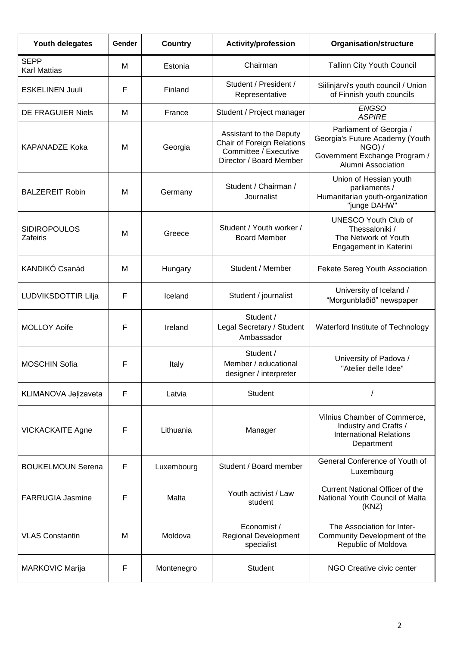| Youth delegates                        | Gender | <b>Country</b> | <b>Activity/profession</b>                                                                                | <b>Organisation/structure</b>                                                                                                  |
|----------------------------------------|--------|----------------|-----------------------------------------------------------------------------------------------------------|--------------------------------------------------------------------------------------------------------------------------------|
| <b>SEPP</b><br><b>Karl Mattias</b>     | M      | Estonia        | Chairman                                                                                                  | <b>Tallinn City Youth Council</b>                                                                                              |
| <b>ESKELINEN Juuli</b>                 | F      | Finland        | Student / President /<br>Representative                                                                   | Siilinjärvi's youth council / Union<br>of Finnish youth councils                                                               |
| <b>DE FRAGUIER Niels</b>               | M      | France         | Student / Project manager                                                                                 | <b>ENGSO</b><br><b>ASPIRE</b>                                                                                                  |
| <b>KAPANADZE Koka</b>                  | M      | Georgia        | Assistant to the Deputy<br>Chair of Foreign Relations<br>Committee / Executive<br>Director / Board Member | Parliament of Georgia /<br>Georgia's Future Academy (Youth<br>$NGO$ ) /<br>Government Exchange Program /<br>Alumni Association |
| <b>BALZEREIT Robin</b>                 | M      | Germany        | Student / Chairman /<br>Journalist                                                                        | Union of Hessian youth<br>parliaments /<br>Humanitarian youth-organization<br>"junge DAHW"                                     |
| <b>SIDIROPOULOS</b><br><b>Zafeiris</b> | M      | Greece         | Student / Youth worker /<br><b>Board Member</b>                                                           | <b>UNESCO Youth Club of</b><br>Thessaloniki /<br>The Network of Youth<br>Engagement in Katerini                                |
| KANDIKÓ Csanád                         | M      | Hungary        | Student / Member                                                                                          | Fekete Sereg Youth Association                                                                                                 |
| LUDVIKSDOTTIR Lilja                    | F      | Iceland        | Student / journalist                                                                                      | University of Iceland /<br>"Morgunblaðið" newspaper                                                                            |
| <b>MOLLOY Aoife</b>                    | F      | Ireland        | Student /<br>Legal Secretary / Student<br>Ambassador                                                      | Waterford Institute of Technology                                                                                              |
| <b>MOSCHIN Sofia</b>                   | F      | Italy          | Student /<br>Member / educational<br>designer / interpreter                                               | University of Padova /<br>"Atelier delle Idee"                                                                                 |
| KLIMANOVA Jelizaveta                   | F      | Latvia         | Student                                                                                                   |                                                                                                                                |
| <b>VICKACKAITE Agne</b>                | F      | Lithuania      | Manager                                                                                                   | Vilnius Chamber of Commerce,<br>Industry and Crafts /<br><b>International Relations</b><br>Department                          |
| <b>BOUKELMOUN Serena</b>               | F      | Luxembourg     | Student / Board member                                                                                    | General Conference of Youth of<br>Luxembourg                                                                                   |
| <b>FARRUGIA Jasmine</b>                | F      | Malta          | Youth activist / Law<br>student                                                                           | Current National Officer of the<br>National Youth Council of Malta<br>(KNZ)                                                    |
| <b>VLAS Constantin</b>                 | M      | Moldova        | Economist /<br><b>Regional Development</b><br>specialist                                                  | The Association for Inter-<br>Community Development of the<br>Republic of Moldova                                              |
| <b>MARKOVIC Marija</b>                 | F      | Montenegro     | Student                                                                                                   | NGO Creative civic center                                                                                                      |